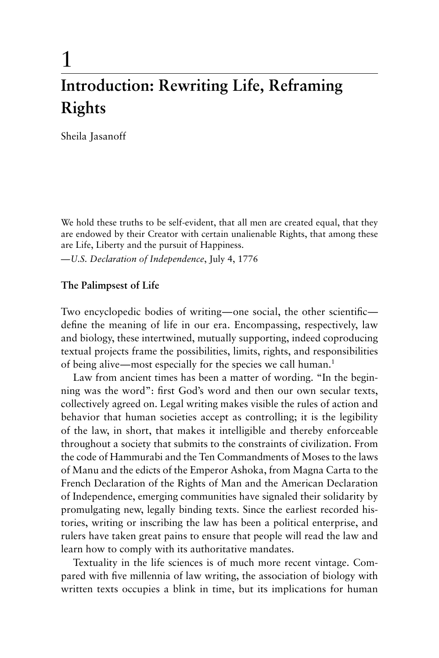# 1 **Introduction: Rewriting Life, Reframing Rights**

Sheila Jasanoff

We hold these truths to be self-evident, that all men are created equal, that they are endowed by their Creator with certain unalienable Rights, that among these are Life, Liberty and the pursuit of Happiness.

*—U.S. Declaration of Independence*, July 4, 1776

#### **The Palimpsest of Life**

Two encyclopedic bodies of writing—one social, the other scientific define the meaning of life in our era. Encompassing, respectively, law and biology, these intertwined, mutually supporting, indeed coproducing textual projects frame the possibilities, limits, rights, and responsibilities of being alive—most especially for the species we call human. 1

Law from ancient times has been a matter of wording. "In the beginning was the word": first God's word and then our own secular texts, collectively agreed on. Legal writing makes visible the rules of action and behavior that human societies accept as controlling; it is the legibility of the law, in short, that makes it intelligible and thereby enforceable throughout a society that submits to the constraints of civilization. From the code of Hammurabi and the Ten Commandments of Moses to the laws of Manu and the edicts of the Emperor Ashoka, from Magna Carta to the French Declaration of the Rights of Man and the American Declaration of Independence, emerging communities have signaled their solidarity by promulgating new, legally binding texts. Since the earliest recorded histories, writing or inscribing the law has been a political enterprise, and rulers have taken great pains to ensure that people will read the law and learn how to comply with its authoritative mandates.

Textuality in the life sciences is of much more recent vintage. Compared with five millennia of law writing, the association of biology with written texts occupies a blink in time, but its implications for human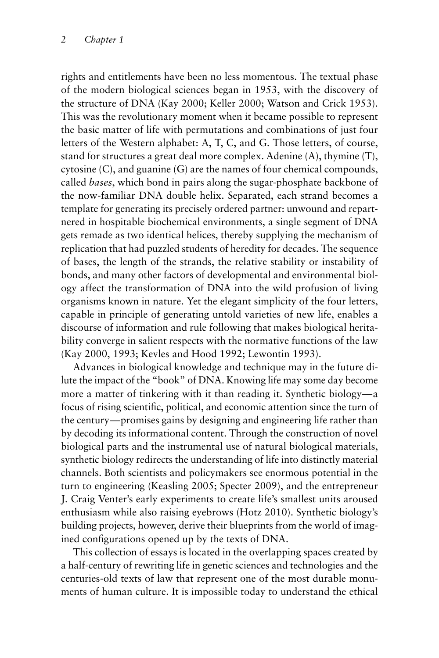rights and entitlements have been no less momentous. The textual phase of the modern biological sciences began in 1953, with the discovery of the structure of DNA (Kay 2000; Keller 2000; Watson and Crick 1953). This was the revolutionary moment when it became possible to represent the basic matter of life with permutations and combinations of just four letters of the Western alphabet: A, T, C, and G. Those letters, of course, stand for structures a great deal more complex. Adenine (A), thymine (T), cytosine (C), and guanine (G) are the names of four chemical compounds, called *bases*, which bond in pairs along the sugar- phosphate backbone of the now-familiar DNA double helix. Separated, each strand becomes a template for generating its precisely ordered partner: unwound and repartnered in hospitable biochemical environments, a single segment of DNA gets remade as two identical helices, thereby supplying the mechanism of replication that had puzzled students of heredity for decades. The sequence of bases, the length of the strands, the relative stability or instability of bonds, and many other factors of developmental and environmental biology affect the transformation of DNA into the wild profusion of living organisms known in nature. Yet the elegant simplicity of the four letters, capable in principle of generating untold varieties of new life, enables a discourse of information and rule following that makes biological heritability converge in salient respects with the normative functions of the law (Kay 2000, 1993; Keyles and Hood 1992; Lewontin 1993).

Advances in biological knowledge and technique may in the future dilute the impact of the "book" of DNA. Knowing life may some day become more a matter of tinkering with it than reading it. Synthetic biology—a focus of rising scientific, political, and economic attention since the turn of the century—promises gains by designing and engineering life rather than by decoding its informational content. Through the construction of novel biological parts and the instrumental use of natural biological materials, synthetic biology redirects the understanding of life into distinctly material channels. Both scientists and policymakers see enormous potential in the turn to engineering (Keasling 2005; Specter 2009), and the entrepreneur J. Craig Venter's early experiments to create life's smallest units aroused enthusiasm while also raising eyebrows (Hotz 2010). Synthetic biology's building projects, however, derive their blueprints from the world of imagined configurations opened up by the texts of DNA.

This collection of essays is located in the overlapping spaces created by a half- century of rewriting life in genetic sciences and technologies and the centuries- old texts of law that represent one of the most durable monuments of human culture. It is impossible today to understand the ethical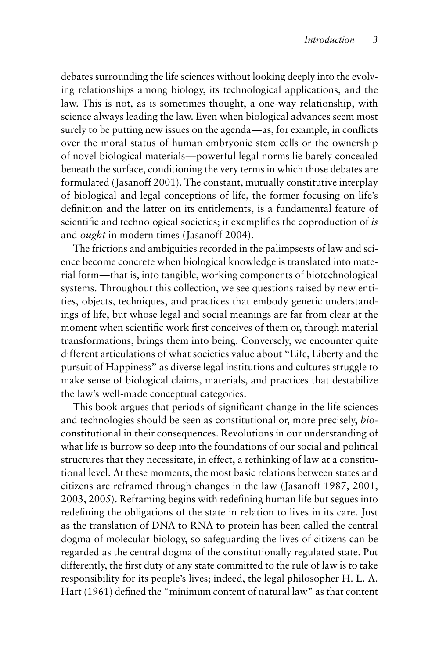debates surrounding the life sciences without looking deeply into the evolving relationships among biology, its technological applications, and the law. This is not, as is sometimes thought, a one-way relationship, with science always leading the law. Even when biological advances seem most surely to be putting new issues on the agenda—as, for example, in conflicts over the moral status of human embryonic stem cells or the ownership of novel biological materials—powerful legal norms lie barely concealed beneath the surface, conditioning the very terms in which those debates are formulated (Jasanoff 2001). The constant, mutually constitutive interplay of biological and legal conceptions of life, the former focusing on life's definition and the latter on its entitlements, is a fundamental feature of scientific and technological societies; it exemplifies the coproduction of *is* and *ought* in modern times (Jasanoff 2004).

The frictions and ambiguities recorded in the palimpsests of law and science become concrete when biological knowledge is translated into material form—that is, into tangible, working components of biotechnological systems. Throughout this collection, we see questions raised by new entities, objects, techniques, and practices that embody genetic understandings of life, but whose legal and social meanings are far from clear at the moment when scientific work first conceives of them or, through material transformations, brings them into being. Conversely, we encounter quite different articulations of what societies value about "Life, Liberty and the pursuit of Happiness" as diverse legal institutions and cultures struggle to make sense of biological claims, materials, and practices that destabilize the law's well-made conceptual categories.

This book argues that periods of significant change in the life sciences and technologies should be seen as constitutional or, more precisely, *bio*constitutional in their consequences. Revolutions in our understanding of what life is burrow so deep into the foundations of our social and political structures that they necessitate, in effect, a rethinking of law at a constitutional level. At these moments, the most basic relations between states and citizens are reframed through changes in the law (Jasanoff 1987, 2001, 2003, 2005). Reframing begins with redefining human life but segues into redefining the obligations of the state in relation to lives in its care. Just as the translation of DNA to RNA to protein has been called the central dogma of molecular biology, so safeguarding the lives of citizens can be regarded as the central dogma of the constitutionally regulated state. Put differently, the first duty of any state committed to the rule of law is to take responsibility for its people's lives; indeed, the legal philosopher H. L. A. Hart (1961) defined the "minimum content of natural law" as that content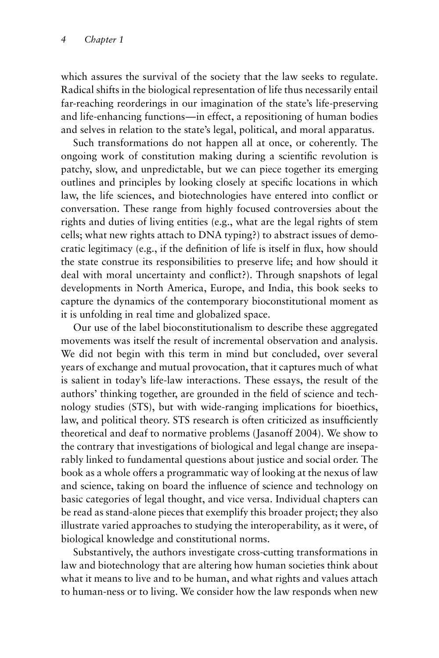which assures the survival of the society that the law seeks to regulate. Radical shifts in the biological representation of life thus necessarily entail far-reaching reorderings in our imagination of the state's life-preserving and life-enhancing functions—in effect, a repositioning of human bodies and selves in relation to the state's legal, political, and moral apparatus.

Such transformations do not happen all at once, or coherently. The ongoing work of constitution making during a scientific revolution is patchy, slow, and unpredictable, but we can piece together its emerging outlines and principles by looking closely at specific locations in which law, the life sciences, and biotechnologies have entered into conflict or conversation. These range from highly focused controversies about the rights and duties of living entities (e.g., what are the legal rights of stem cells; what new rights attach to DNA typing?) to abstract issues of democratic legitimacy (e.g., if the definition of life is itself in flux, how should the state construe its responsibilities to preserve life; and how should it deal with moral uncertainty and conflict?). Through snapshots of legal developments in North America, Europe, and India, this book seeks to capture the dynamics of the contemporary bioconstitutional moment as it is unfolding in real time and globalized space.

Our use of the label bioconstitutionalism to describe these aggregated movements was itself the result of incremental observation and analysis. We did not begin with this term in mind but concluded, over several years of exchange and mutual provocation, that it captures much of what is salient in today's life-law interactions. These essays, the result of the authors' thinking together, are grounded in the field of science and technology studies (STS), but with wide-ranging implications for bioethics, law, and political theory. STS research is often criticized as insufficiently theoretical and deaf to normative problems ( Jasanoff 2004 ). We show to the contrary that investigations of biological and legal change are inseparably linked to fundamental questions about justice and social order. The book as a whole offers a programmatic way of looking at the nexus of law and science, taking on board the influence of science and technology on basic categories of legal thought, and vice versa. Individual chapters can be read as stand- alone pieces that exemplify this broader project; they also illustrate varied approaches to studying the interoperability, as it were, of biological knowledge and constitutional norms.

Substantively, the authors investigate cross- cutting transformations in law and biotechnology that are altering how human societies think about what it means to live and to be human, and what rights and values attach to human- ness or to living. We consider how the law responds when new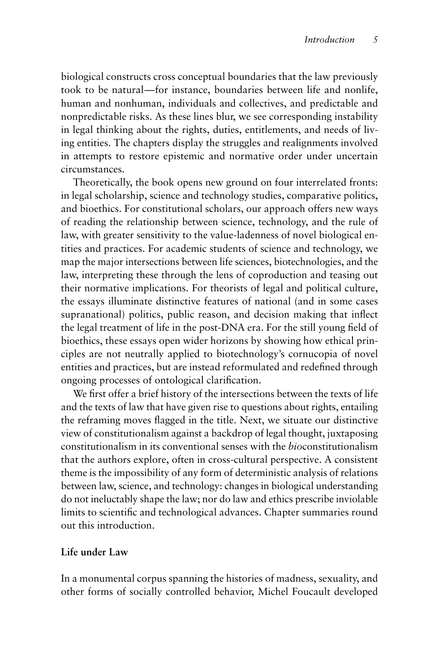biological constructs cross conceptual boundaries that the law previously took to be natural—for instance, boundaries between life and nonlife, human and nonhuman, individuals and collectives, and predictable and nonpredictable risks. As these lines blur, we see corresponding instability in legal thinking about the rights, duties, entitlements, and needs of living entities. The chapters display the struggles and realignments involved in attempts to restore epistemic and normative order under uncertain circumstances.

Theoretically, the book opens new ground on four interrelated fronts: in legal scholarship, science and technology studies, comparative politics, and bioethics. For constitutional scholars, our approach offers new ways of reading the relationship between science, technology, and the rule of law, with greater sensitivity to the value-ladenness of novel biological entities and practices. For academic students of science and technology, we map the major intersections between life sciences, biotechnologies, and the law, interpreting these through the lens of coproduction and teasing out their normative implications. For theorists of legal and political culture, the essays illuminate distinctive features of national (and in some cases supranational) politics, public reason, and decision making that inflect the legal treatment of life in the post-DNA era. For the still young field of bioethics, these essays open wider horizons by showing how ethical principles are not neutrally applied to biotechnology's cornucopia of novel entities and practices, but are instead reformulated and redefined through ongoing processes of ontological clarification.

We first offer a brief history of the intersections between the texts of life and the texts of law that have given rise to questions about rights, entailing the reframing moves flagged in the title. Next, we situate our distinctive view of constitutionalism against a backdrop of legal thought, juxtaposing constitutionalism in its conventional senses with the *bio*constitutionalism that the authors explore, often in cross- cultural perspective. A consistent theme is the impossibility of any form of deterministic analysis of relations between law, science, and technology: changes in biological understanding do not ineluctably shape the law; nor do law and ethics prescribe inviolable limits to scientific and technological advances. Chapter summaries round out this introduction.

#### **Life under Law**

In a monumental corpus spanning the histories of madness, sexuality, and other forms of socially controlled behavior, Michel Foucault developed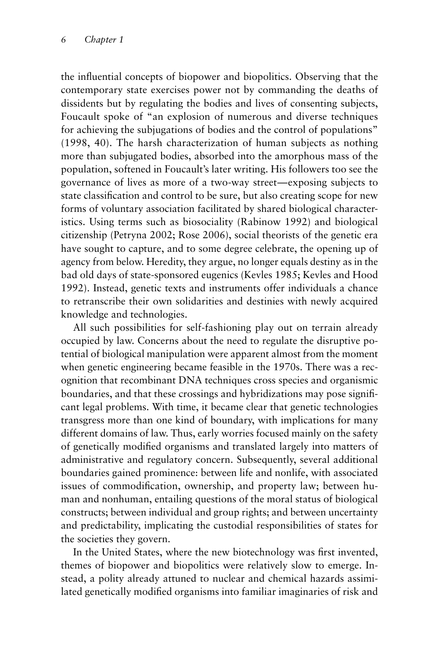the influential concepts of biopower and biopolitics. Observing that the contemporary state exercises power not by commanding the deaths of dissidents but by regulating the bodies and lives of consenting subjects, Foucault spoke of "an explosion of numerous and diverse techniques for achieving the subjugations of bodies and the control of populations" (1998, 40). The harsh characterization of human subjects as nothing more than subjugated bodies, absorbed into the amorphous mass of the population, softened in Foucault's later writing. His followers too see the governance of lives as more of a two- way street—exposing subjects to state classification and control to be sure, but also creating scope for new forms of voluntary association facilitated by shared biological characteristics. Using terms such as biosociality (Rabinow 1992) and biological citizenship ( Petryna 2002; Rose 2006 ), social theorists of the genetic era have sought to capture, and to some degree celebrate, the opening up of agency from below. Heredity, they argue, no longer equals destiny as in the bad old days of state-sponsored eugenics (Kevles 1985; Kevles and Hood 1992). Instead, genetic texts and instruments offer individuals a chance to retranscribe their own solidarities and destinies with newly acquired knowledge and technologies.

All such possibilities for self-fashioning play out on terrain already occupied by law. Concerns about the need to regulate the disruptive potential of biological manipulation were apparent almost from the moment when genetic engineering became feasible in the 1970s. There was a recognition that recombinant DNA techniques cross species and organismic boundaries, and that these crossings and hybridizations may pose significant legal problems. With time, it became clear that genetic technologies transgress more than one kind of boundary, with implications for many different domains of law. Thus, early worries focused mainly on the safety of genetically modified organisms and translated largely into matters of administrative and regulatory concern. Subsequently, several additional boundaries gained prominence: between life and nonlife, with associated issues of commodification, ownership, and property law; between human and nonhuman, entailing questions of the moral status of biological constructs; between individual and group rights; and between uncertainty and predictability, implicating the custodial responsibilities of states for the societies they govern.

In the United States, where the new biotechnology was first invented, themes of biopower and biopolitics were relatively slow to emerge. Instead, a polity already attuned to nuclear and chemical hazards assimilated genetically modified organisms into familiar imaginaries of risk and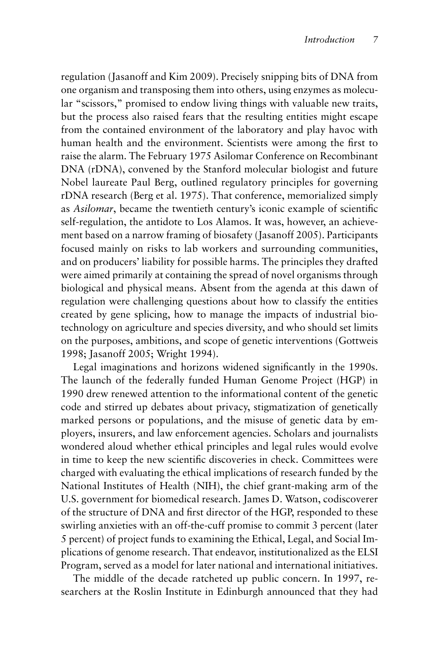regulation ( Jasanoff and Kim 2009 ). Precisely snipping bits of DNA from one organism and transposing them into others, using enzymes as molecular "scissors," promised to endow living things with valuable new traits, but the process also raised fears that the resulting entities might escape from the contained environment of the laboratory and play havoc with human health and the environment. Scientists were among the first to raise the alarm. The February 1975 Asilomar Conference on Recombinant DNA (rDNA), convened by the Stanford molecular biologist and future Nobel laureate Paul Berg, outlined regulatory principles for governing rDNA research ( Berg et al. 1975 ). That conference, memorialized simply as *Asilomar*, became the twentieth century's iconic example of scientific self-regulation, the antidote to Los Alamos. It was, however, an achievement based on a narrow framing of biosafety ( Jasanoff 2005 ). Participants focused mainly on risks to lab workers and surrounding communities, and on producers' liability for possible harms. The principles they drafted were aimed primarily at containing the spread of novel organisms through biological and physical means. Absent from the agenda at this dawn of regulation were challenging questions about how to classify the entities created by gene splicing, how to manage the impacts of industrial biotechnology on agriculture and species diversity, and who should set limits on the purposes, ambitions, and scope of genetic interventions ( Gottweis 1998; Jasanoff 2005; Wright 1994).

Legal imaginations and horizons widened significantly in the 1990s. The launch of the federally funded Human Genome Project (HGP) in 1990 drew renewed attention to the informational content of the genetic code and stirred up debates about privacy, stigmatization of genetically marked persons or populations, and the misuse of genetic data by employers, insurers, and law enforcement agencies. Scholars and journalists wondered aloud whether ethical principles and legal rules would evolve in time to keep the new scientific discoveries in check. Committees were charged with evaluating the ethical implications of research funded by the National Institutes of Health (NIH), the chief grant-making arm of the U.S. government for biomedical research. James D. Watson, codiscoverer of the structure of DNA and first director of the HGP, responded to these swirling anxieties with an off-the-cuff promise to commit 3 percent (later 5 percent) of project funds to examining the Ethical, Legal, and Social Implications of genome research. That endeavor, institutionalized as the ELSI Program, served as a model for later national and international initiatives.

The middle of the decade ratcheted up public concern. In 1997, researchers at the Roslin Institute in Edinburgh announced that they had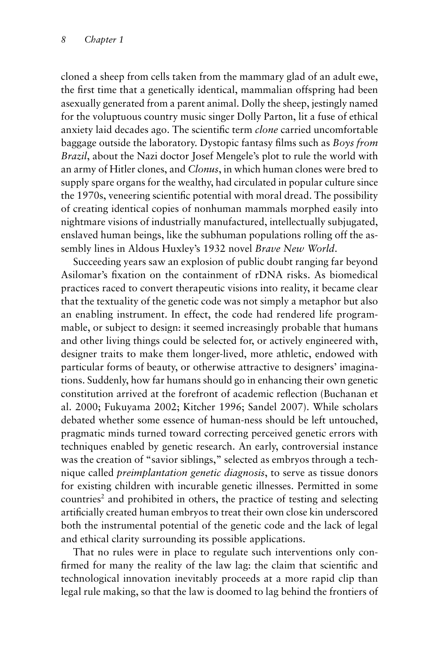cloned a sheep from cells taken from the mammary glad of an adult ewe, the first time that a genetically identical, mammalian offspring had been asexually generated from a parent animal. Dolly the sheep, jestingly named for the voluptuous country music singer Dolly Parton, lit a fuse of ethical anxiety laid decades ago. The scientific term *clone* carried uncomfortable baggage outside the laboratory. Dystopic fantasy films such as *Boys from Brazil*, about the Nazi doctor Josef Mengele's plot to rule the world with an army of Hitler clones, and *Clonus*, in which human clones were bred to supply spare organs for the wealthy, had circulated in popular culture since the 1970s, veneering scientific potential with moral dread. The possibility of creating identical copies of nonhuman mammals morphed easily into nightmare visions of industrially manufactured, intellectually subjugated, enslaved human beings, like the subhuman populations rolling off the assembly lines in Aldous Huxley's 1932 novel *Brave New World*.

Succeeding years saw an explosion of public doubt ranging far beyond Asilomar's fixation on the containment of rDNA risks. As biomedical practices raced to convert therapeutic visions into reality, it became clear that the textuality of the genetic code was not simply a metaphor but also an enabling instrument. In effect, the code had rendered life programmable, or subject to design: it seemed increasingly probable that humans and other living things could be selected for, or actively engineered with, designer traits to make them longer-lived, more athletic, endowed with particular forms of beauty, or otherwise attractive to designers' imaginations. Suddenly, how far humans should go in enhancing their own genetic constitution arrived at the forefront of academic reflection (Buchanan et al. 2000; Fukuyama 2002; Kitcher 1996; Sandel 2007). While scholars debated whether some essence of human-ness should be left untouched, pragmatic minds turned toward correcting perceived genetic errors with techniques enabled by genetic research. An early, controversial instance was the creation of "savior siblings," selected as embryos through a technique called *preimplantation genetic diagnosis*, to serve as tissue donors for existing children with incurable genetic illnesses. Permitted in some countries<sup>2</sup> and prohibited in others, the practice of testing and selecting artificially created human embryos to treat their own close kin underscored both the instrumental potential of the genetic code and the lack of legal and ethical clarity surrounding its possible applications.

That no rules were in place to regulate such interventions only confirmed for many the reality of the law lag: the claim that scientific and technological innovation inevitably proceeds at a more rapid clip than legal rule making, so that the law is doomed to lag behind the frontiers of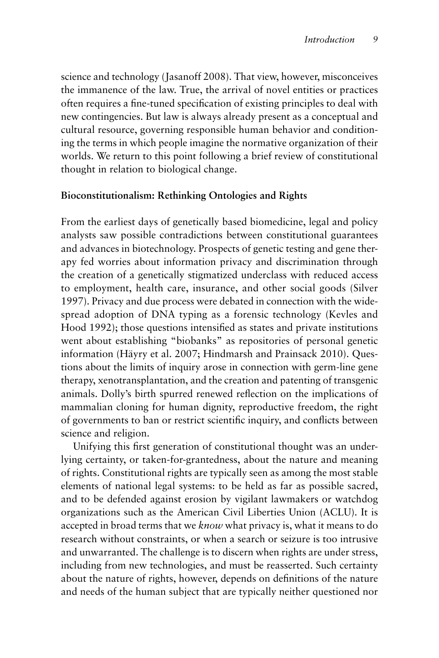science and technology (Jasanoff 2008). That view, however, misconceives the immanence of the law. True, the arrival of novel entities or practices often requires a fine-tuned specification of existing principles to deal with new contingencies. But law is always already present as a conceptual and cultural resource, governing responsible human behavior and conditioning the terms in which people imagine the normative organization of their worlds. We return to this point following a brief review of constitutional thought in relation to biological change.

# **Bioconstitutionalism: Rethinking Ontologies and Rights**

From the earliest days of genetically based biomedicine, legal and policy analysts saw possible contradictions between constitutional guarantees and advances in biotechnology. Prospects of genetic testing and gene therapy fed worries about information privacy and discrimination through the creation of a genetically stigmatized underclass with reduced access to employment, health care, insurance, and other social goods ( Silver 1997). Privacy and due process were debated in connection with the widespread adoption of DNA typing as a forensic technology (Kevles and Hood 1992); those questions intensified as states and private institutions went about establishing "biobanks" as repositories of personal genetic information (Häyry et al. 2007; Hindmarsh and Prainsack 2010). Ouestions about the limits of inquiry arose in connection with germ- line gene therapy, xenotransplantation, and the creation and patenting of transgenic animals. Dolly's birth spurred renewed reflection on the implications of mammalian cloning for human dignity, reproductive freedom, the right of governments to ban or restrict scientific inquiry, and conflicts between science and religion.

Unifying this first generation of constitutional thought was an underlying certainty, or taken-for-grantedness, about the nature and meaning of rights. Constitutional rights are typically seen as among the most stable elements of national legal systems: to be held as far as possible sacred, and to be defended against erosion by vigilant lawmakers or watchdog organizations such as the American Civil Liberties Union (ACLU). It is accepted in broad terms that we *know* what privacy is, what it means to do research without constraints, or when a search or seizure is too intrusive and unwarranted. The challenge is to discern when rights are under stress, including from new technologies, and must be reasserted. Such certainty about the nature of rights, however, depends on definitions of the nature and needs of the human subject that are typically neither questioned nor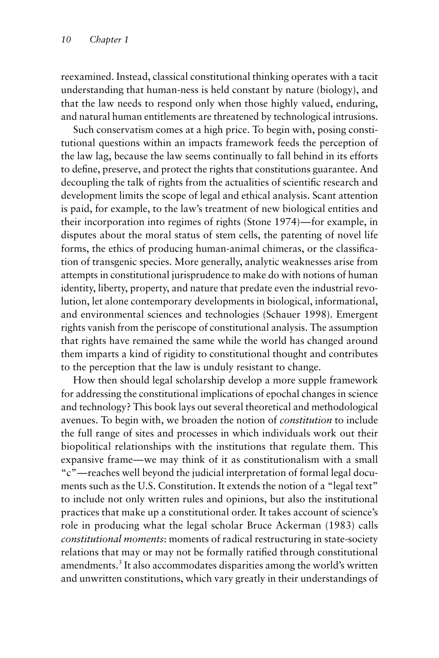reexamined. Instead, classical constitutional thinking operates with a tacit understanding that human- ness is held constant by nature (biology), and that the law needs to respond only when those highly valued, enduring, and natural human entitlements are threatened by technological intrusions.

Such conservatism comes at a high price. To begin with, posing constitutional questions within an impacts framework feeds the perception of the law lag, because the law seems continually to fall behind in its efforts to define, preserve, and protect the rights that constitutions guarantee. And decoupling the talk of rights from the actualities of scientific research and development limits the scope of legal and ethical analysis. Scant attention is paid, for example, to the law's treatment of new biological entities and their incorporation into regimes of rights (Stone 1974)—for example, in disputes about the moral status of stem cells, the patenting of novel life forms, the ethics of producing human-animal chimeras, or the classification of transgenic species. More generally, analytic weaknesses arise from attempts in constitutional jurisprudence to make do with notions of human identity, liberty, property, and nature that predate even the industrial revolution, let alone contemporary developments in biological, informational, and environmental sciences and technologies (Schauer 1998). Emergent rights vanish from the periscope of constitutional analysis. The assumption that rights have remained the same while the world has changed around them imparts a kind of rigidity to constitutional thought and contributes to the perception that the law is unduly resistant to change.

How then should legal scholarship develop a more supple framework for addressing the constitutional implications of epochal changes in science and technology? This book lays out several theoretical and methodological avenues. To begin with, we broaden the notion of *constitution* to include the full range of sites and processes in which individuals work out their biopolitical relationships with the institutions that regulate them. This expansive frame—we may think of it as constitutionalism with a small "c"—reaches well beyond the judicial interpretation of formal legal documents such as the U.S. Constitution. It extends the notion of a "legal text" to include not only written rules and opinions, but also the institutional practices that make up a constitutional order. It takes account of science's role in producing what the legal scholar Bruce Ackerman (1983) calls *constitutional moments*: moments of radical restructuring in state-society relations that may or may not be formally ratified through constitutional amendments.<sup>3</sup> It also accommodates disparities among the world's written and unwritten constitutions, which vary greatly in their understandings of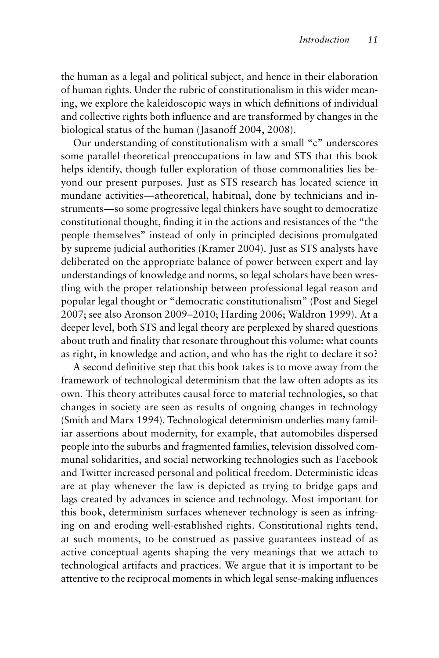the human as a legal and political subject, and hence in their elaboration of human rights. Under the rubric of constitutionalism in this wider meaning, we explore the kaleidoscopic ways in which definitions of individual and collective rights both influence and are transformed by changes in the biological status of the human (Jasanoff 2004, 2008).

Our understanding of constitutionalism with a small "c" underscores some parallel theoretical preoccupations in law and STS that this book helps identify, though fuller exploration of those commonalities lies beyond our present purposes. Just as STS research has located science in mundane activities—atheoretical, habitual, done by technicians and instruments—so some progressive legal thinkers have sought to democratize constitutional thought, finding it in the actions and resistances of the "the people themselves" instead of only in principled decisions promulgated by supreme judicial authorities ( Kramer 2004 ). Just as STS analysts have deliberated on the appropriate balance of power between expert and lay understandings of knowledge and norms, so legal scholars have been wrestling with the proper relationship between professional legal reason and popular legal thought or "democratic constitutionalism" ( Post and Siegel 2007; see also Aronson 2009-2010; Harding 2006; Waldron 1999). At a deeper level, both STS and legal theory are perplexed by shared questions about truth and finality that resonate throughout this volume: what counts as right, in knowledge and action, and who has the right to declare it so?

A second definitive step that this book takes is to move away from the framework of technological determinism that the law often adopts as its own. This theory attributes causal force to material technologies, so that changes in society are seen as results of ongoing changes in technology (Smith and Marx 1994). Technological determinism underlies many familiar assertions about modernity, for example, that automobiles dispersed people into the suburbs and fragmented families, television dissolved communal solidarities, and social networking technologies such as Facebook and Twitter increased personal and political freedom. Deterministic ideas are at play whenever the law is depicted as trying to bridge gaps and lags created by advances in science and technology. Most important for this book, determinism surfaces whenever technology is seen as infringing on and eroding well-established rights. Constitutional rights tend, at such moments, to be construed as passive guarantees instead of as active conceptual agents shaping the very meanings that we attach to technological artifacts and practices. We argue that it is important to be attentive to the reciprocal moments in which legal sense-making influences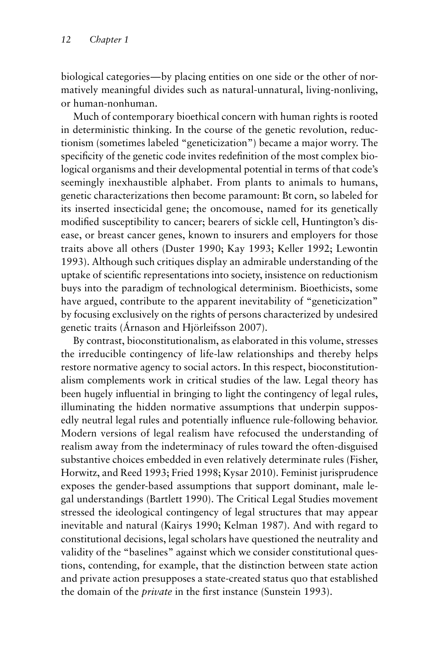biological categories—by placing entities on one side or the other of normatively meaningful divides such as natural-unnatural, living-nonliving, or human- nonhuman.

Much of contemporary bioethical concern with human rights is rooted in deterministic thinking. In the course of the genetic revolution, reductionism (sometimes labeled "geneticization") became a major worry. The specificity of the genetic code invites redefinition of the most complex biological organisms and their developmental potential in terms of that code's seemingly inexhaustible alphabet. From plants to animals to humans, genetic characterizations then become paramount: Bt corn, so labeled for its inserted insecticidal gene; the oncomouse, named for its genetically modified susceptibility to cancer; bearers of sickle cell, Huntington's disease, or breast cancer genes, known to insurers and employers for those traits above all others (Duster 1990; Kay 1993; Keller 1992; Lewontin 1993 ). Although such critiques display an admirable understanding of the uptake of scientific representations into society, insistence on reductionism buys into the paradigm of technological determinism. Bioethicists, some have argued, contribute to the apparent inevitability of "geneticization" by focusing exclusively on the rights of persons characterized by undesired genetic traits ( Árnason and Hjörleifsson 2007 ).

By contrast, bioconstitutionalism, as elaborated in this volume, stresses the irreducible contingency of life-law relationships and thereby helps restore normative agency to social actors. In this respect, bioconstitutionalism complements work in critical studies of the law. Legal theory has been hugely influential in bringing to light the contingency of legal rules, illuminating the hidden normative assumptions that underpin supposedly neutral legal rules and potentially influence rule-following behavior. Modern versions of legal realism have refocused the understanding of realism away from the indeterminacy of rules toward the often- disguised substantive choices embedded in even relatively determinate rules (Fisher, Horwitz, and Reed 1993; Fried 1998; Kysar 2010). Feminist jurisprudence exposes the gender-based assumptions that support dominant, male legal understandings ( Bartlett 1990 ). The Critical Legal Studies movement stressed the ideological contingency of legal structures that may appear inevitable and natural (Kairys 1990; Kelman 1987). And with regard to constitutional decisions, legal scholars have questioned the neutrality and validity of the "baselines" against which we consider constitutional questions, contending, for example, that the distinction between state action and private action presupposes a state- created status quo that established the domain of the *private* in the first instance (Sunstein 1993).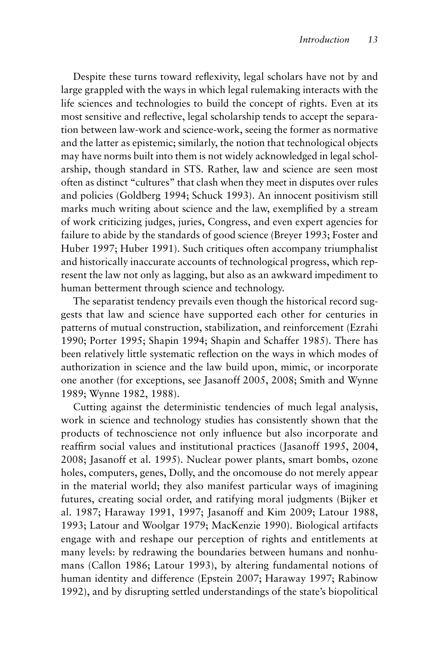Despite these turns toward reflexivity, legal scholars have not by and large grappled with the ways in which legal rulemaking interacts with the life sciences and technologies to build the concept of rights. Even at its most sensitive and reflective, legal scholarship tends to accept the separation between law-work and science-work, seeing the former as normative and the latter as epistemic; similarly, the notion that technological objects may have norms built into them is not widely acknowledged in legal scholarship, though standard in STS. Rather, law and science are seen most often as distinct "cultures" that clash when they meet in disputes over rules and policies (Goldberg 1994; Schuck 1993). An innocent positivism still marks much writing about science and the law, exemplified by a stream of work criticizing judges, juries, Congress, and even expert agencies for failure to abide by the standards of good science (Breyer 1993; Foster and Huber 1997; Huber 1991). Such critiques often accompany triumphalist and historically inaccurate accounts of technological progress, which represent the law not only as lagging, but also as an awkward impediment to human betterment through science and technology.

The separatist tendency prevails even though the historical record suggests that law and science have supported each other for centuries in patterns of mutual construction, stabilization, and reinforcement (Ezrahi 1990; Porter 1995; Shapin 1994; Shapin and Schaffer 1985). There has been relatively little systematic reflection on the ways in which modes of authorization in science and the law build upon, mimic, or incorporate one another (for exceptions, see Jasanoff 2005, 2008; Smith and Wynne 1989; Wynne 1982, 1988).

Cutting against the deterministic tendencies of much legal analysis, work in science and technology studies has consistently shown that the products of technoscience not only influence but also incorporate and reaffirm social values and institutional practices (Jasanoff 1995, 2004, 2008; Jasanoff et al. 1995). Nuclear power plants, smart bombs, ozone holes, computers, genes, Dolly, and the oncomouse do not merely appear in the material world; they also manifest particular ways of imagining futures, creating social order, and ratifying moral judgments ( Bijker et al. 1987; Haraway 1991, 1997; Jasanoff and Kim 2009; Latour 1988, 1993; Latour and Woolgar 1979; MacKenzie 1990). Biological artifacts engage with and reshape our perception of rights and entitlements at many levels: by redrawing the boundaries between humans and nonhumans (Callon 1986; Latour 1993), by altering fundamental notions of human identity and difference (Epstein 2007; Haraway 1997; Rabinow 1992 ), and by disrupting settled understandings of the state's biopolitical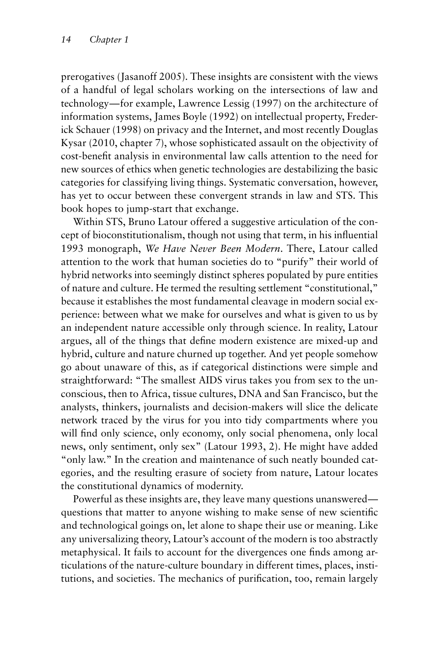prerogatives (Jasanoff 2005). These insights are consistent with the views of a handful of legal scholars working on the intersections of law and technology—for example, Lawrence Lessig (1997) on the architecture of information systems, James Boyle (1992) on intellectual property, Frederick Schauer (1998) on privacy and the Internet, and most recently Douglas Kysar (2010, chapter 7), whose sophisticated assault on the objectivity of cost-benefit analysis in environmental law calls attention to the need for new sources of ethics when genetic technologies are destabilizing the basic categories for classifying living things. Systematic conversation, however, has yet to occur between these convergent strands in law and STS. This book hopes to jump-start that exchange.

Within STS, Bruno Latour offered a suggestive articulation of the concept of bioconstitutionalism, though not using that term, in his influential 1993 monograph, *We Have Never Been Modern*. There, Latour called attention to the work that human societies do to "purify" their world of hybrid networks into seemingly distinct spheres populated by pure entities of nature and culture. He termed the resulting settlement "constitutional," because it establishes the most fundamental cleavage in modern social experience: between what we make for ourselves and what is given to us by an independent nature accessible only through science. In reality, Latour argues, all of the things that define modern existence are mixed-up and hybrid, culture and nature churned up together. And yet people somehow go about unaware of this, as if categorical distinctions were simple and straightforward: "The smallest AIDS virus takes you from sex to the unconscious, then to Africa, tissue cultures, DNA and San Francisco, but the analysts, thinkers, journalists and decision- makers will slice the delicate network traced by the virus for you into tidy compartments where you will find only science, only economy, only social phenomena, only local news, only sentiment, only sex" (Latour 1993, 2). He might have added "only law." In the creation and maintenance of such neatly bounded categories, and the resulting erasure of society from nature, Latour locates the constitutional dynamics of modernity.

Powerful as these insights are, they leave many questions unanswered questions that matter to anyone wishing to make sense of new scientific and technological goings on, let alone to shape their use or meaning. Like any universalizing theory, Latour's account of the modern is too abstractly metaphysical. It fails to account for the divergences one finds among articulations of the nature-culture boundary in different times, places, institutions, and societies. The mechanics of purification, too, remain largely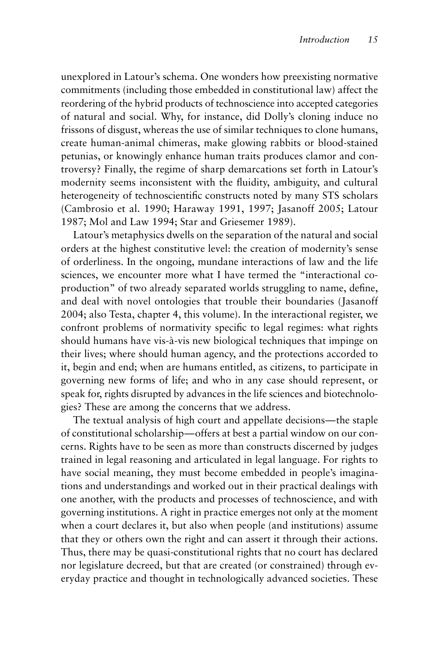unexplored in Latour's schema. One wonders how preexisting normative commitments (including those embedded in constitutional law) affect the reordering of the hybrid products of technoscience into accepted categories of natural and social. Why, for instance, did Dolly's cloning induce no frissons of disgust, whereas the use of similar techniques to clone humans, create human-animal chimeras, make glowing rabbits or blood-stained petunias, or knowingly enhance human traits produces clamor and controversy? Finally, the regime of sharp demarcations set forth in Latour's modernity seems inconsistent with the fluidity, ambiguity, and cultural heterogeneity of technoscientific constructs noted by many STS scholars (Cambrosio et al. 1990; Haraway 1991, 1997; Jasanoff 2005; Latour 1987; Mol and Law 1994; Star and Griesemer 1989).

Latour's metaphysics dwells on the separation of the natural and social orders at the highest constitutive level: the creation of modernity's sense of orderliness. In the ongoing, mundane interactions of law and the life sciences, we encounter more what I have termed the "interactional coproduction" of two already separated worlds struggling to name, define, and deal with novel ontologies that trouble their boundaries ( Jasanoff 2004; also Testa, chapter 4, this volume). In the interactional register, we confront problems of normativity specific to legal regimes: what rights should humans have vis-à-vis new biological techniques that impinge on their lives; where should human agency, and the protections accorded to it, begin and end; when are humans entitled, as citizens, to participate in governing new forms of life; and who in any case should represent, or speak for, rights disrupted by advances in the life sciences and biotechnologies? These are among the concerns that we address.

The textual analysis of high court and appellate decisions—the staple of constitutional scholarship—offers at best a partial window on our concerns. Rights have to be seen as more than constructs discerned by judges trained in legal reasoning and articulated in legal language. For rights to have social meaning, they must become embedded in people's imaginations and understandings and worked out in their practical dealings with one another, with the products and processes of technoscience, and with governing institutions. A right in practice emerges not only at the moment when a court declares it, but also when people (and institutions) assume that they or others own the right and can assert it through their actions. Thus, there may be quasi-constitutional rights that no court has declared nor legislature decreed, but that are created (or constrained) through everyday practice and thought in technologically advanced societies. These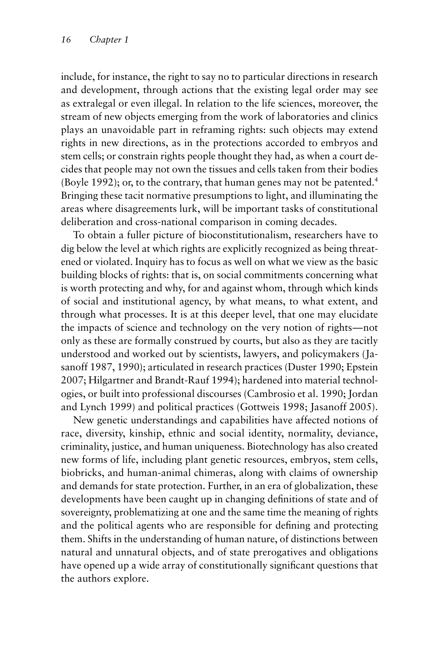include, for instance, the right to say no to particular directions in research and development, through actions that the existing legal order may see as extralegal or even illegal. In relation to the life sciences, moreover, the stream of new objects emerging from the work of laboratories and clinics plays an unavoidable part in reframing rights: such objects may extend rights in new directions, as in the protections accorded to embryos and stem cells; or constrain rights people thought they had, as when a court decides that people may not own the tissues and cells taken from their bodies (Boyle 1992); or, to the contrary, that human genes may not be patented.<sup>4</sup> Bringing these tacit normative presumptions to light, and illuminating the areas where disagreements lurk, will be important tasks of constitutional deliberation and cross-national comparison in coming decades.

To obtain a fuller picture of bioconstitutionalism, researchers have to dig below the level at which rights are explicitly recognized as being threatened or violated. Inquiry has to focus as well on what we view as the basic building blocks of rights: that is, on social commitments concerning what is worth protecting and why, for and against whom, through which kinds of social and institutional agency, by what means, to what extent, and through what processes. It is at this deeper level, that one may elucidate the impacts of science and technology on the very notion of rights—not only as these are formally construed by courts, but also as they are tacitly understood and worked out by scientists, lawyers, and policymakers ( Jasanoff 1987, 1990); articulated in research practices (Duster 1990; Epstein 2007; Hilgartner and Brandt-Rauf 1994); hardened into material technologies, or built into professional discourses (Cambrosio et al. 1990; Jordan and Lynch 1999) and political practices (Gottweis 1998; Jasanoff 2005).

New genetic understandings and capabilities have affected notions of race, diversity, kinship, ethnic and social identity, normality, deviance, criminality, justice, and human uniqueness. Biotechnology has also created new forms of life, including plant genetic resources, embryos, stem cells, biobricks, and human-animal chimeras, along with claims of ownership and demands for state protection. Further, in an era of globalization, these developments have been caught up in changing definitions of state and of sovereignty, problematizing at one and the same time the meaning of rights and the political agents who are responsible for defining and protecting them. Shifts in the understanding of human nature, of distinctions between natural and unnatural objects, and of state prerogatives and obligations have opened up a wide array of constitutionally significant questions that the authors explore.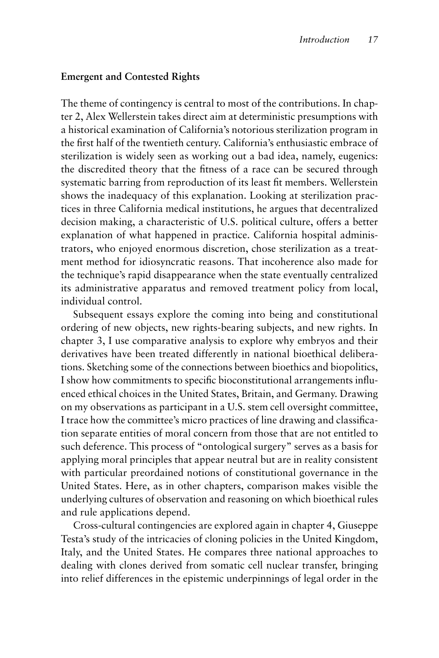#### **Emergent and Contested Rights**

The theme of contingency is central to most of the contributions. In chapter 2, Alex Wellerstein takes direct aim at deterministic presumptions with a historical examination of California's notorious sterilization program in the first half of the twentieth century. California's enthusiastic embrace of sterilization is widely seen as working out a bad idea, namely, eugenics: the discredited theory that the fitness of a race can be secured through systematic barring from reproduction of its least fit members. Wellerstein shows the inadequacy of this explanation. Looking at sterilization practices in three California medical institutions, he argues that decentralized decision making, a characteristic of U.S. political culture, offers a better explanation of what happened in practice. California hospital administrators, who enjoyed enormous discretion, chose sterilization as a treatment method for idiosyncratic reasons. That incoherence also made for the technique's rapid disappearance when the state eventually centralized its administrative apparatus and removed treatment policy from local, individual control.

Subsequent essays explore the coming into being and constitutional ordering of new objects, new rights- bearing subjects, and new rights. In chapter 3, I use comparative analysis to explore why embryos and their derivatives have been treated differently in national bioethical deliberations. Sketching some of the connections between bioethics and biopolitics, I show how commitments to specific bioconstitutional arrangements influenced ethical choices in the United States, Britain, and Germany. Drawing on my observations as participant in a U.S. stem cell oversight committee, I trace how the committee's micro practices of line drawing and classification separate entities of moral concern from those that are not entitled to such deference. This process of "ontological surgery" serves as a basis for applying moral principles that appear neutral but are in reality consistent with particular preordained notions of constitutional governance in the United States. Here, as in other chapters, comparison makes visible the underlying cultures of observation and reasoning on which bioethical rules and rule applications depend.

Cross- cultural contingencies are explored again in chapter 4, Giuseppe Testa's study of the intricacies of cloning policies in the United Kingdom, Italy, and the United States. He compares three national approaches to dealing with clones derived from somatic cell nuclear transfer, bringing into relief differences in the epistemic underpinnings of legal order in the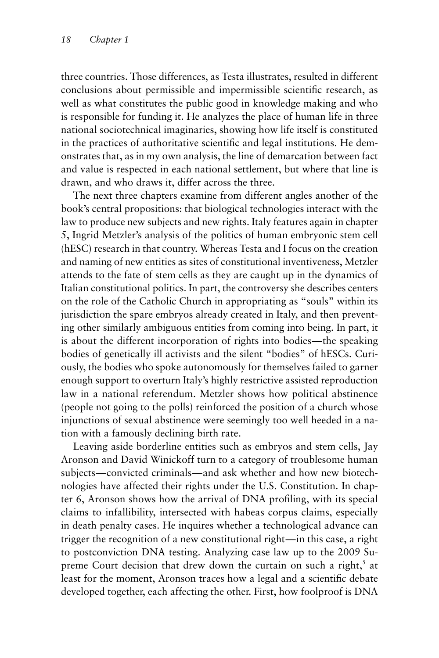three countries. Those differences, as Testa illustrates, resulted in different conclusions about permissible and impermissible scientific research, as well as what constitutes the public good in knowledge making and who is responsible for funding it. He analyzes the place of human life in three national sociotechnical imaginaries, showing how life itself is constituted in the practices of authoritative scientific and legal institutions. He demonstrates that, as in my own analysis, the line of demarcation between fact and value is respected in each national settlement, but where that line is drawn, and who draws it, differ across the three.

The next three chapters examine from different angles another of the book's central propositions: that biological technologies interact with the law to produce new subjects and new rights. Italy features again in chapter 5, Ingrid Metzler's analysis of the politics of human embryonic stem cell (hESC) research in that country. Whereas Testa and I focus on the creation and naming of new entities as sites of constitutional inventiveness, Metzler attends to the fate of stem cells as they are caught up in the dynamics of Italian constitutional politics. In part, the controversy she describes centers on the role of the Catholic Church in appropriating as "souls" within its jurisdiction the spare embryos already created in Italy, and then preventing other similarly ambiguous entities from coming into being. In part, it is about the different incorporation of rights into bodies—the speaking bodies of genetically ill activists and the silent "bodies" of hESCs. Curiously, the bodies who spoke autonomously for themselves failed to garner enough support to overturn Italy's highly restrictive assisted reproduction law in a national referendum. Metzler shows how political abstinence (people not going to the polls) reinforced the position of a church whose injunctions of sexual abstinence were seemingly too well heeded in a nation with a famously declining birth rate.

Leaving aside borderline entities such as embryos and stem cells, Jay Aronson and David Winickoff turn to a category of troublesome human subjects—convicted criminals—and ask whether and how new biotechnologies have affected their rights under the U.S. Constitution. In chapter 6, Aronson shows how the arrival of DNA profiling, with its special claims to infallibility, intersected with habeas corpus claims, especially in death penalty cases. He inquires whether a technological advance can trigger the recognition of a new constitutional right—in this case, a right to postconviction DNA testing. Analyzing case law up to the 2009 Supreme Court decision that drew down the curtain on such a right,<sup>5</sup> at least for the moment, Aronson traces how a legal and a scientific debate developed together, each affecting the other. First, how foolproof is DNA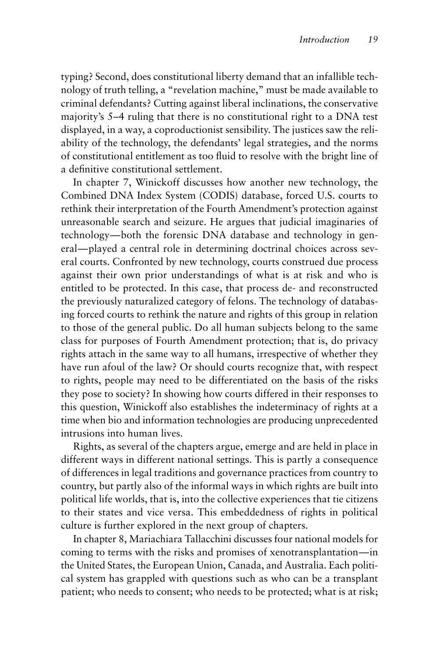typing? Second, does constitutional liberty demand that an infallible technology of truth telling, a "revelation machine," must be made available to criminal defendants? Cutting against liberal inclinations, the conservative majority's 5–4 ruling that there is no constitutional right to a DNA test displayed, in a way, a coproductionist sensibility. The justices saw the reliability of the technology, the defendants' legal strategies, and the norms of constitutional entitlement as too fluid to resolve with the bright line of a definitive constitutional settlement.

In chapter 7, Winickoff discusses how another new technology, the Combined DNA Index System (CODIS) database, forced U.S. courts to rethink their interpretation of the Fourth Amendment's protection against unreasonable search and seizure. He argues that judicial imaginaries of technology—both the forensic DNA database and technology in general—played a central role in determining doctrinal choices across several courts. Confronted by new technology, courts construed due process against their own prior understandings of what is at risk and who is entitled to be protected. In this case, that process de-and reconstructed the previously naturalized category of felons. The technology of databasing forced courts to rethink the nature and rights of this group in relation to those of the general public. Do all human subjects belong to the same class for purposes of Fourth Amendment protection; that is, do privacy rights attach in the same way to all humans, irrespective of whether they have run afoul of the law? Or should courts recognize that, with respect to rights, people may need to be differentiated on the basis of the risks they pose to society? In showing how courts differed in their responses to this question, Winickoff also establishes the indeterminacy of rights at a time when bio and information technologies are producing unprecedented intrusions into human lives.

Rights, as several of the chapters argue, emerge and are held in place in different ways in different national settings. This is partly a consequence of differences in legal traditions and governance practices from country to country, but partly also of the informal ways in which rights are built into political life worlds, that is, into the collective experiences that tie citizens to their states and vice versa. This embeddedness of rights in political culture is further explored in the next group of chapters.

In chapter 8, Mariachiara Tallacchini discusses four national models for coming to terms with the risks and promises of xenotransplantation—in the United States, the European Union, Canada, and Australia. Each political system has grappled with questions such as who can be a transplant patient; who needs to consent; who needs to be protected; what is at risk;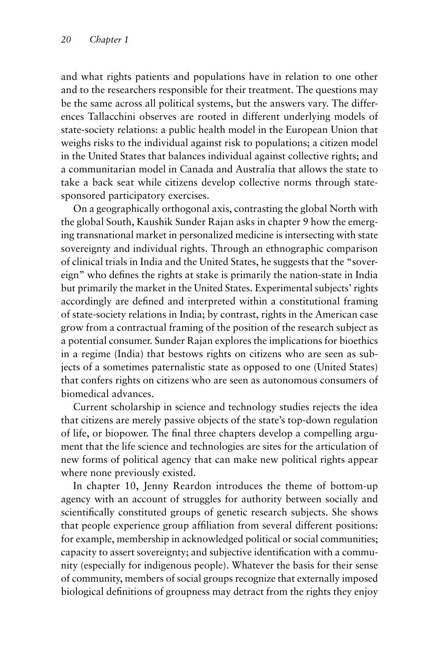and what rights patients and populations have in relation to one other and to the researchers responsible for their treatment. The questions may be the same across all political systems, but the answers vary. The differences Tallacchini observes are rooted in different underlying models of state- society relations: a public health model in the European Union that weighs risks to the individual against risk to populations; a citizen model in the United States that balances individual against collective rights; and a communitarian model in Canada and Australia that allows the state to take a back seat while citizens develop collective norms through statesponsored participatory exercises.

On a geographically orthogonal axis, contrasting the global North with the global South, Kaushik Sunder Rajan asks in chapter 9 how the emerging transnational market in personalized medicine is intersecting with state sovereignty and individual rights. Through an ethnographic comparison of clinical trials in India and the United States, he suggests that the "sovereign" who defines the rights at stake is primarily the nation-state in India but primarily the market in the United States. Experimental subjects' rights accordingly are defined and interpreted within a constitutional framing of state- society relations in India; by contrast, rights in the American case grow from a contractual framing of the position of the research subject as a potential consumer. Sunder Rajan explores the implications for bioethics in a regime (India) that bestows rights on citizens who are seen as subjects of a sometimes paternalistic state as opposed to one (United States) that confers rights on citizens who are seen as autonomous consumers of biomedical advances.

Current scholarship in science and technology studies rejects the idea that citizens are merely passive objects of the state's top- down regulation of life, or biopower. The final three chapters develop a compelling argument that the life science and technologies are sites for the articulation of new forms of political agency that can make new political rights appear where none previously existed.

In chapter 10, Jenny Reardon introduces the theme of bottom-up agency with an account of struggles for authority between socially and scientifically constituted groups of genetic research subjects. She shows that people experience group affiliation from several different positions: for example, membership in acknowledged political or social communities; capacity to assert sovereignty; and subjective identification with a community (especially for indigenous people). Whatever the basis for their sense of community, members of social groups recognize that externally imposed biological definitions of groupness may detract from the rights they enjoy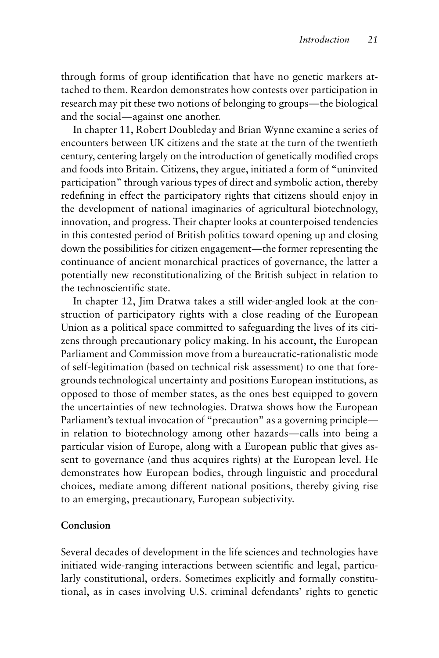through forms of group identification that have no genetic markers attached to them. Reardon demonstrates how contests over participation in research may pit these two notions of belonging to groups—the biological and the social—against one another.

In chapter 11, Robert Doubleday and Brian Wynne examine a series of encounters between UK citizens and the state at the turn of the twentieth century, centering largely on the introduction of genetically modified crops and foods into Britain. Citizens, they argue, initiated a form of "uninvited participation" through various types of direct and symbolic action, thereby redefining in effect the participatory rights that citizens should enjoy in the development of national imaginaries of agricultural biotechnology, innovation, and progress. Their chapter looks at counterpoised tendencies in this contested period of British politics toward opening up and closing down the possibilities for citizen engagement—the former representing the continuance of ancient monarchical practices of governance, the latter a potentially new reconstitutionalizing of the British subject in relation to the technoscientific state.

In chapter 12, Jim Dratwa takes a still wider-angled look at the construction of participatory rights with a close reading of the European Union as a political space committed to safeguarding the lives of its citizens through precautionary policy making. In his account, the European Parliament and Commission move from a bureaucratic- rationalistic mode of self- legitimation (based on technical risk assessment) to one that foregrounds technological uncertainty and positions European institutions, as opposed to those of member states, as the ones best equipped to govern the uncertainties of new technologies. Dratwa shows how the European Parliament's textual invocation of "precaution" as a governing principle in relation to biotechnology among other hazards—calls into being a particular vision of Europe, along with a European public that gives assent to governance (and thus acquires rights) at the European level. He demonstrates how European bodies, through linguistic and procedural choices, mediate among different national positions, thereby giving rise to an emerging, precautionary, European subjectivity.

## **Conclusion**

Several decades of development in the life sciences and technologies have initiated wide-ranging interactions between scientific and legal, particularly constitutional, orders. Sometimes explicitly and formally constitutional, as in cases involving U.S. criminal defendants' rights to genetic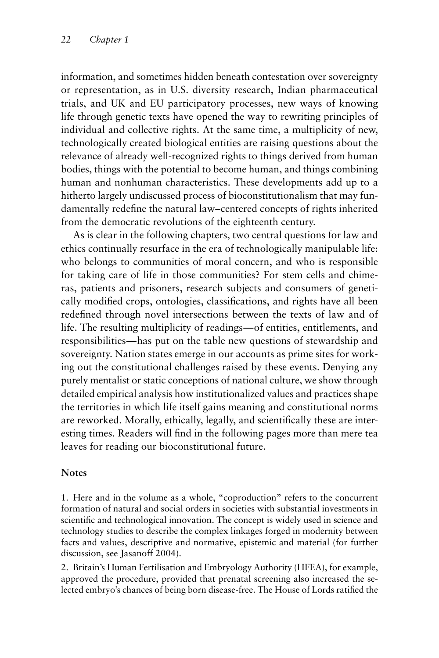information, and sometimes hidden beneath contestation over sovereignty or representation, as in U.S. diversity research, Indian pharmaceutical trials, and UK and EU participatory processes, new ways of knowing life through genetic texts have opened the way to rewriting principles of individual and collective rights. At the same time, a multiplicity of new, technologically created biological entities are raising questions about the relevance of already well-recognized rights to things derived from human bodies, things with the potential to become human, and things combining human and nonhuman characteristics. These developments add up to a hitherto largely undiscussed process of bioconstitutionalism that may fundamentally redefine the natural law–centered concepts of rights inherited from the democratic revolutions of the eighteenth century.

As is clear in the following chapters, two central questions for law and ethics continually resurface in the era of technologically manipulable life: who belongs to communities of moral concern, and who is responsible for taking care of life in those communities? For stem cells and chimeras, patients and prisoners, research subjects and consumers of genetically modified crops, ontologies, classifications, and rights have all been redefined through novel intersections between the texts of law and of life. The resulting multiplicity of readings—of entities, entitlements, and responsibilities—has put on the table new questions of stewardship and sovereignty. Nation states emerge in our accounts as prime sites for working out the constitutional challenges raised by these events. Denying any purely mentalist or static conceptions of national culture, we show through detailed empirical analysis how institutionalized values and practices shape the territories in which life itself gains meaning and constitutional norms are reworked. Morally, ethically, legally, and scientifically these are interesting times. Readers will find in the following pages more than mere tea leaves for reading our bioconstitutional future.

## **Notes**

1. Here and in the volume as a whole, "coproduction" refers to the concurrent formation of natural and social orders in societies with substantial investments in scientific and technological innovation. The concept is widely used in science and technology studies to describe the complex linkages forged in modernity between facts and values, descriptive and normative, epistemic and material (for further discussion, see Jasanoff 2004).

2. Britain's Human Fertilisation and Embryology Authority (HFEA), for example, approved the procedure, provided that prenatal screening also increased the selected embryo's chances of being born disease-free. The House of Lords ratified the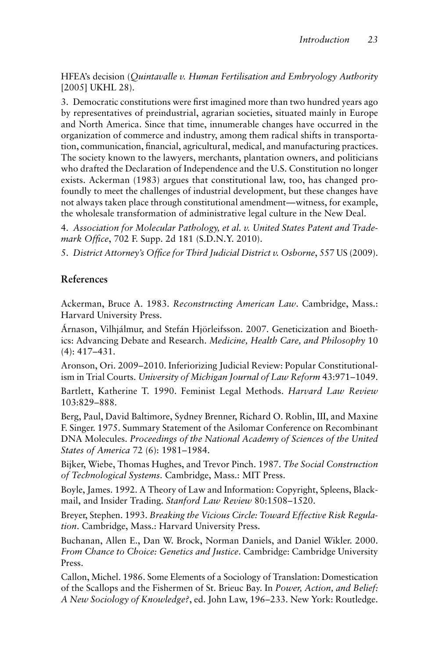HFEA's decision ( *Quintavalle v. Human Fertilisation and Embryology Authority* [2005] UKHL 28).

3. Democratic constitutions were first imagined more than two hundred years ago by representatives of preindustrial, agrarian societies, situated mainly in Europe and North America. Since that time, innumerable changes have occurred in the organization of commerce and industry, among them radical shifts in transportation, communication, financial, agricultural, medical, and manufacturing practices. The society known to the lawyers, merchants, plantation owners, and politicians who drafted the Declaration of Independence and the U.S. Constitution no longer exists. Ackerman (1983) argues that constitutional law, too, has changed profoundly to meet the challenges of industrial development, but these changes have not always taken place through constitutional amendment—witness, for example, the wholesale transformation of administrative legal culture in the New Deal.

4. *Association for Molecular Pathology, et al. v. United States Patent and Trademark Office, 702 F. Supp. 2d 181 (S.D.N.Y. 2010).* 

5. District Attorney's Office for Third Judicial District v. Osborne, 557 US (2009).

#### **References**

Ackerman, Bruce A. 1983. *Reconstructing American Law*. Cambridge, Mass.: Harvard University Press .

Árnason, Vilhjálmur, and Stefán Hjörleifsson. 2007. Geneticization and Bioethics: Advancing Debate and Research. *Medicine, Health Care, and Philosophy* 10  $(4)$ : 417–431.

Aronson, Ori. 2009-2010. Inferiorizing Judicial Review: Popular Constitutionalism in Trial Courts. *University of Michigan Journal of Law Reform* 43:971-1049.

Bartlett, Katherine T. 1990. Feminist Legal Methods. *Harvard Law Review* 103:829-888.

Berg, Paul, David Baltimore, Sydney Brenner, Richard O. Roblin, III, and Maxine F. Singer. 1975. Summary Statement of the Asilomar Conference on Recombinant DNA Molecules. *Proceedings of the National Academy of Sciences of the United States of America* 72 (6): 1981-1984.

Bijker, Wiebe, Thomas Hughes, and Trevor Pinch. 1987. *The Social Construction of Technological Systems*. Cambridge, Mass. : MIT Press .

Boyle, James. 1992. A Theory of Law and Information: Copyright, Spleens, Blackmail, and Insider Trading. *Stanford Law Review* 80:1508–1520.

Breyer , Stephen . 1993 . *Breaking the Vicious Circle: Toward Effective Risk Regula*tion. Cambridge, Mass.: Harvard University Press.

Buchanan , Allen E. , Dan W. Brock , Norman Daniels , and Daniel Wikler . 2000 . From Chance to Choice: Genetics and Justice. Cambridge: Cambridge University Press.

Callon, Michel. 1986. Some Elements of a Sociology of Translation: Domestication of the Scallops and the Fishermen of St. Brieuc Bay . In *Power, Action, and Belief: A New Sociology of Knowledge?*, ed. John Law, 196-233. New York: Routledge.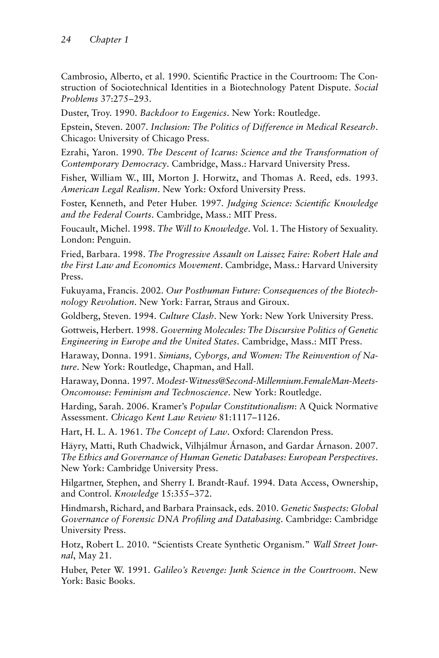Cambrosio, Alberto, et al. 1990. Scientific Practice in the Courtroom: The Construction of Sociotechnical Identities in a Biotechnology Patent Dispute. *Social Problems* 37 : 275 – 293 .

Duster, Troy. 1990. *Backdoor to Eugenics*. New York: Routledge.

Epstein , Steven . 2007 . *Inclusion: The Politics of Difference in Medical Research*. Chicago: University of Chicago Press.

Ezrahi, Yaron. 1990. *The Descent of Icarus: Science and the Transformation of* Contemporary Democracy. Cambridge, Mass.: Harvard University Press.

Fisher, William W., III, Morton J. Horwitz, and Thomas A. Reed, eds. 1993. American Legal Realism. New York: Oxford University Press.

Foster, Kenneth, and Peter Huber. 1997. *Judging Science: Scientific Knowledge* and the Federal Courts. Cambridge, Mass.: MIT Press.

Foucault, Michel. 1998. *The Will to Knowledge*. Vol. 1. The History of Sexuality. London: Penguin.

Fried , Barbara . 1998 . *The Progressive Assault on Laissez Faire: Robert Hale and the First Law and Economics Movement*. Cambridge, Mass. : Harvard University Press.

Fukuyama, Francis. 2002. Our Posthuman Future: Consequences of the Biotechnology Revolution. New York: Farrar, Straus and Giroux.

Goldberg, Steven. 1994. *Culture Clash*. New York: New York University Press.

Gottweis, Herbert. 1998. Governing Molecules: The Discursive Politics of Genetic Engineering in Europe and the United States. Cambridge, Mass.: MIT Press.

Haraway, Donna. 1991. Simians, Cyborgs, and Women: The Reinvention of Nature. New York: Routledge, Chapman, and Hall.

Haraway , Donna . 1997 . *Modest- Witness@Second- Millennium.FemaleMan- Meets-***Oncomouse: Feminism and Technoscience. New York: Routledge.** 

Harding, Sarah. 2006. Kramer's Popular Constitutionalism: A Quick Normative Assessment. *Chicago Kent Law Review* 81:1117-1126.

Hart, H. L. A. 1961. *The Concept of Law*. Oxford: Clarendon Press.

Häyry, Matti, Ruth Chadwick, Vilhjálmur Árnason, and Gardar Árnason. 2007. *The Ethics and Governance of Human Genetic Databases: European Perspectives*. New York: Cambridge University Press.

Hilgartner, Stephen, and Sherry I. Brandt-Rauf. 1994. Data Access, Ownership, and Control. *Knowledge* 15:355-372.

Hindmarsh, Richard, and Barbara Prainsack, eds. 2010. *Genetic Suspects: Global Governance of Forensic DNA Profi ling and Databasing*. Cambridge : Cambridge University Press.

Hotz, Robert L. 2010. "Scientists Create Synthetic Organism." Wall Street Jour*nal*, May 21.

Huber , Peter W. 1991 . *Galileo's Revenge: Junk Science in the Courtroom*. New York: Basic Books.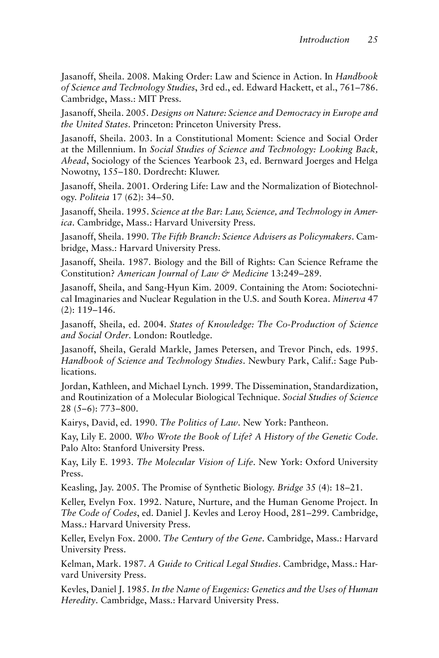Jasanoff , Sheila . 2008 . Making Order: Law and Science in Action . In *Handbook of Science and Technology Studies*, 3rd ed. , ed. Edward Hackett , et al. , 761 – 786 . Cambridge, Mass.: MIT Press.

Jasanoff, Sheila. 2005. *Designs on Nature: Science and Democracy in Europe and the United States*. Princeton: Princeton University Press.

Jasanoff, Sheila. 2003. In a Constitutional Moment: Science and Social Order at the Millennium . In *Social Studies of Science and Technology: Looking Back, Ahead*, Sociology of the Sciences Yearbook 23, ed. Bernward Joerges and Helga Nowotny, 155–180. Dordrecht: Kluwer.

Jasanoff, Sheila. 2001. Ordering Life: Law and the Normalization of Biotechnology. *Politeia* 17 (62): 34–50.

Jasanoff, Sheila. 1995. Science at the Bar: Law, Science, and Technology in America. Cambridge, Mass.: Harvard University Press.

Jasanoff , Sheila . 1990 . *The Fifth Branch: Science Advisers as Policymakers*. Cambridge, Mass.: Harvard University Press.

Jasanoff, Sheila. 1987. Biology and the Bill of Rights: Can Science Reframe the Constitution? *American Journal of Law & Medicine* 13:249-289.

Jasanoff, Sheila, and Sang-Hyun Kim. 2009. Containing the Atom: Sociotechnical Imaginaries and Nuclear Regulation in the U.S. and South Korea. *Minerva* 47  $(2): 119 - 146.$ 

Jasanoff, Sheila, ed. 2004. *States of Knowledge: The Co-Production of Science* and Social Order. London: Routledge.

Jasanoff, Sheila, Gerald Markle, James Petersen, and Trevor Pinch, eds. 1995. Handbook of Science and Technology Studies. Newbury Park, Calif.: Sage Publications .

Jordan , Kathleen , and Michael Lynch . 1999 . The Dissemination, Standardization, and Routinization of a Molecular Biological Technique . *Social Studies of Science* 28 (5-6): 773-800.

Kairys, David, ed. 1990. *The Politics of Law*. New York: Pantheon.

Kay , Lily E. 2000 . *Who Wrote the Book of Life? A History of the Genetic Code*. Palo Alto: Stanford University Press.

Kay, Lily E. 1993. *The Molecular Vision of Life*. New York: Oxford University Press.

Keasling, Jay. 2005. The Promise of Synthetic Biology. *Bridge* 35 (4): 18–21.

Keller, Evelyn Fox. 1992. Nature, Nurture, and the Human Genome Project. In The Code of Codes, ed. Daniel J. Kevles and Leroy Hood, 281-299. Cambridge, Mass.: Harvard University Press.

Keller, Evelyn Fox. 2000. *The Century of the Gene*. Cambridge, Mass.: Harvard University Press .

Kelman , Mark . 1987 . *A Guide to Critical Legal Studies*. Cambridge, Mass. : Harvard University Press .

Kevles, Daniel J. 1985. In the Name of Eugenics: Genetics and the Uses of Human Heredity. Cambridge, Mass.: Harvard University Press.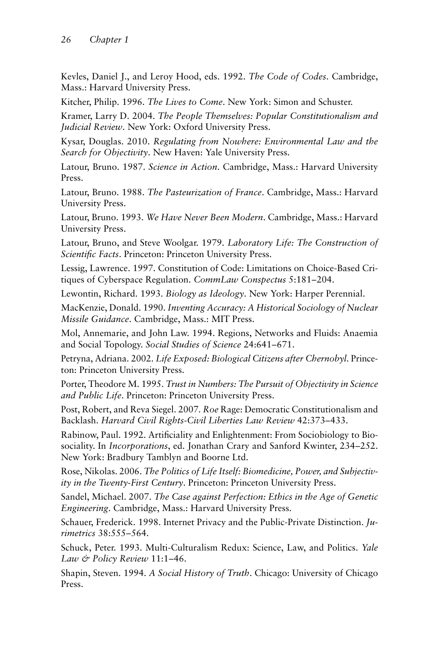Kevles , Daniel J. , and Leroy Hood , eds. 1992 . *The Code of Codes*. Cambridge, Mass.: Harvard University Press.

Kitcher, Philip. 1996. *The Lives to Come*. New York: Simon and Schuster.

Kramer, Larry D. 2004. *The People Themselves: Popular Constitutionalism and Judicial Review*. New York: Oxford University Press.

Kysar, Douglas. 2010. Regulating from Nowhere: Environmental Law and the *Search for Objectivity*. New Haven: Yale University Press.

Latour, Bruno. 1987. Science in Action. Cambridge, Mass.: Harvard University Press.

Latour, Bruno. 1988. *The Pasteurization of France*. Cambridge, Mass.: Harvard University Press.

Latour, Bruno. 1993. We Have Never Been Modern. Cambridge, Mass.: Harvard University Press .

Latour, Bruno, and Steve Woolgar. 1979. *Laboratory Life: The Construction of Scientific Facts*. Princeton: Princeton University Press.

Lessig , Lawrence . 1997 . Constitution of Code: Limitations on Choice- Based Critiques of Cyberspace Regulation. *CommLaw Conspectus* 5:181–204.

Lewontin, Richard. 1993. *Biology as Ideology*. New York: Harper Perennial.

MacKenzie , Donald . 1990 . *Inventing Accuracy: A Historical Sociology of Nuclear Missile Guidance*. Cambridge, Mass.: MIT Press.

Mol, Annemarie, and John Law. 1994. Regions, Networks and Fluids: Anaemia and Social Topology. *Social Studies of Science* 24:641–671.

Petryna, Adriana. 2002. Life Exposed: Biological Citizens after Chernobyl. Princeton: Princeton University Press.

Porter, Theodore M. 1995. *Trust in Numbers: The Pursuit of Objectivity in Science* and Public Life. Princeton: Princeton University Press.

Post, Robert, and Reva Siegel. 2007. *Roe* Rage: Democratic Constitutionalism and Backlash. *Harvard Civil Rights-Civil Liberties Law Review* 42:373-433.

Rabinow, Paul. 1992. Artificiality and Enlightenment: From Sociobiology to Biosociality. In *Incorporations*, ed. Jonathan Crary and Sanford Kwinter, 234–252. New York: Bradbury Tamblyn and Boorne Ltd.

Rose, Nikolas. 2006. The Politics of Life Itself: Biomedicine, Power, and Subjectiv*ity in the Twenty-First Century*. Princeton: Princeton University Press.

Sandel, Michael. 2007. *The Case against Perfection: Ethics in the Age of Genetic Engineering*. Cambridge, Mass. : Harvard University Press .

Schauer, Frederick. 1998. Internet Privacy and the Public-Private Distinction. *Jurimetrics* 38:555-564.

Schuck, Peter. 1993. Multi-Culturalism Redux: Science, Law, and Politics. *Yale Law & Policy Review* 11:1–46.

Shapin, Steven. 1994. *A Social History of Truth*. Chicago: University of Chicago Press.